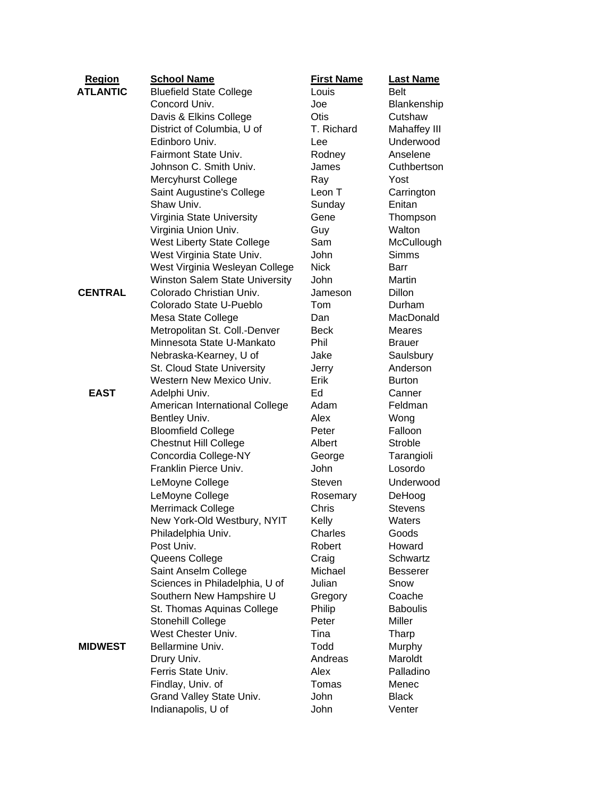| <b>Region</b>   | <b>School Name</b>                    | <b>First Name</b> | <b>Last Name</b> |
|-----------------|---------------------------------------|-------------------|------------------|
| <b>ATLANTIC</b> | <b>Bluefield State College</b>        | Louis             | <b>Belt</b>      |
|                 | Concord Univ.                         | Joe               | Blankenship      |
|                 | Davis & Elkins College                | Otis              | Cutshaw          |
|                 | District of Columbia, U of            | T. Richard        | Mahaffey III     |
|                 | Edinboro Univ.                        | Lee               | Underwood        |
|                 | Fairmont State Univ.                  | Rodney            | Anselene         |
|                 | Johnson C. Smith Univ.                | James             | Cuthbertson      |
|                 | Mercyhurst College                    | Ray               | Yost             |
|                 | Saint Augustine's College             | Leon T            | Carrington       |
|                 | Shaw Univ.                            | Sunday            | Enitan           |
|                 | Virginia State University             | Gene              | Thompson         |
|                 | Virginia Union Univ.                  | Guy               | Walton           |
|                 | <b>West Liberty State College</b>     | Sam               | McCullough       |
|                 | West Virginia State Univ.             | John              | <b>Simms</b>     |
|                 | West Virginia Wesleyan College        | <b>Nick</b>       | Barr             |
|                 | <b>Winston Salem State University</b> | John              | Martin           |
| <b>CENTRAL</b>  | Colorado Christian Univ.              | Jameson           | Dillon           |
|                 | Colorado State U-Pueblo               | Tom               | Durham           |
|                 | Mesa State College                    | Dan               | MacDonald        |
|                 | Metropolitan St. Coll.-Denver         | Beck              | <b>Meares</b>    |
|                 | Minnesota State U-Mankato             | Phil              | <b>Brauer</b>    |
|                 | Nebraska-Kearney, U of                | Jake              | Saulsbury        |
|                 | St. Cloud State University            | Jerry             | Anderson         |
|                 | Western New Mexico Univ.              | Erik              | <b>Burton</b>    |
| <b>EAST</b>     | Adelphi Univ.                         | Ed                | Canner           |
|                 | American International College        | Adam              | Feldman          |
|                 | Bentley Univ.                         | Alex              | Wong             |
|                 | <b>Bloomfield College</b>             | Peter             | Falloon          |
|                 | <b>Chestnut Hill College</b>          | Albert            | <b>Stroble</b>   |
|                 | Concordia College-NY                  | George            | Tarangioli       |
|                 | Franklin Pierce Univ.                 | John              | Losordo          |
|                 | LeMoyne College                       | Steven            | Underwood        |
|                 | LeMoyne College                       | Rosemary          | DeHoog           |
|                 | Merrimack College                     | Chris             | <b>Stevens</b>   |
|                 | New York-Old Westbury, NYIT           | Kelly             | Waters           |
|                 | Philadelphia Univ.                    | Charles           | Goods            |
|                 | Post Univ.                            | Robert            | Howard           |
|                 | Queens College                        | Craig             | Schwartz         |
|                 | Saint Anselm College                  | Michael           | <b>Besserer</b>  |
|                 | Sciences in Philadelphia, U of        | Julian            | Snow             |
|                 | Southern New Hampshire U              | Gregory           | Coache           |
|                 | St. Thomas Aquinas College            | Philip            | <b>Baboulis</b>  |
|                 | Stonehill College                     | Peter             | Miller           |
|                 | West Chester Univ.                    | Tina              | Tharp            |
| <b>MIDWEST</b>  | Bellarmine Univ.                      | Todd              | Murphy           |
|                 | Drury Univ.                           | Andreas           | Maroldt          |
|                 | Ferris State Univ.                    | Alex              | Palladino        |
|                 | Findlay, Univ. of                     | Tomas             | Menec            |
|                 | Grand Valley State Univ.              | John              | <b>Black</b>     |
|                 | Indianapolis, U of                    | John              | Venter           |
|                 |                                       |                   |                  |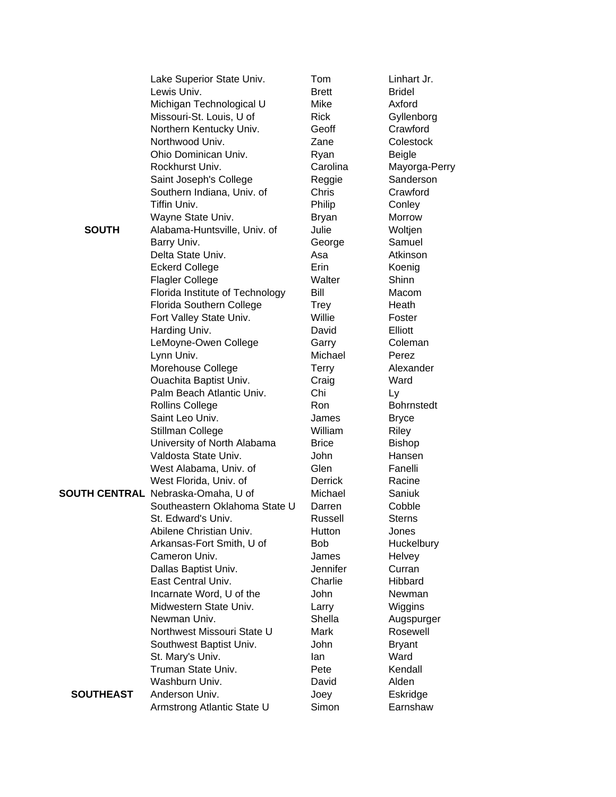|                  | Lake Superior State Univ.                 | Tom             | Linhart Jr.       |
|------------------|-------------------------------------------|-----------------|-------------------|
|                  | Lewis Univ.                               | <b>Brett</b>    | <b>Bridel</b>     |
|                  | Michigan Technological U                  | <b>Mike</b>     | Axford            |
|                  | Missouri-St. Louis, U of                  | <b>Rick</b>     | Gyllenborg        |
|                  | Northern Kentucky Univ.                   | Geoff           | Crawford          |
|                  | Northwood Univ.                           | Zane            | Colestock         |
|                  | Ohio Dominican Univ.                      | Ryan            | <b>Beigle</b>     |
|                  | Rockhurst Univ.                           | Carolina        | Mayorga-Perry     |
|                  | Saint Joseph's College                    | Reggie          | Sanderson         |
|                  | Southern Indiana, Univ. of                | Chris           | Crawford          |
|                  | Tiffin Univ.                              | Philip          | Conley            |
|                  | Wayne State Univ.                         | <b>Bryan</b>    | Morrow            |
| <b>SOUTH</b>     | Alabama-Huntsville, Univ. of              | Julie           | Woltjen           |
|                  | Barry Univ.                               | George          | Samuel            |
|                  | Delta State Univ.                         | Asa             | Atkinson          |
|                  | <b>Eckerd College</b>                     | Erin            | Koenig            |
|                  | <b>Flagler College</b>                    | Walter          | Shinn             |
|                  | Florida Institute of Technology           | Bill            | Macom             |
|                  | Florida Southern College                  | <b>Trey</b>     | Heath             |
|                  | Fort Valley State Univ.                   | Willie          | Foster            |
|                  | Harding Univ.                             | David           | Elliott           |
|                  | LeMoyne-Owen College                      | Garry           | Coleman           |
|                  | Lynn Univ.                                | Michael         | Perez             |
|                  | Morehouse College                         | <b>Terry</b>    | Alexander         |
|                  | Ouachita Baptist Univ.                    | Craig           | Ward              |
|                  | Palm Beach Atlantic Univ.                 | Chi             | Ly                |
|                  | <b>Rollins College</b>                    | <b>Ron</b>      | <b>Bohrnstedt</b> |
|                  | Saint Leo Univ.                           | James           | <b>Bryce</b>      |
|                  | Stillman College                          | William         | Riley             |
|                  | University of North Alabama               | <b>Brice</b>    | <b>Bishop</b>     |
|                  | Valdosta State Univ.                      | <b>John</b>     | Hansen            |
|                  | West Alabama, Univ. of                    | Glen            | Fanelli           |
|                  | West Florida, Univ. of                    | <b>Derrick</b>  | Racine            |
|                  | <b>SOUTH CENTRAL</b> Nebraska-Omaha, U of | Michael         | Saniuk            |
|                  | Southeastern Oklahoma State U             | Darren          | Cobble            |
|                  | St. Edward's Univ.                        | <b>Russell</b>  | <b>Sterns</b>     |
|                  | Abilene Christian Univ.                   | Hutton          | Jones             |
|                  | Arkansas-Fort Smith, U of                 | <b>Bob</b>      | Huckelbury        |
|                  | Cameron Univ.                             | James           | Helvey            |
|                  | Dallas Baptist Univ.                      | <b>Jennifer</b> | Curran            |
|                  | East Central Univ.                        | Charlie         | Hibbard           |
|                  | Incarnate Word, U of the                  | John            | Newman            |
|                  | Midwestern State Univ.                    | Larry           | Wiggins           |
|                  | Newman Univ.                              | Shella          | Augspurger        |
|                  | Northwest Missouri State U                | Mark            | Rosewell          |
|                  | Southwest Baptist Univ.                   | John            | <b>Bryant</b>     |
|                  | St. Mary's Univ.                          | lan             | Ward              |
|                  | Truman State Univ.                        | Pete            | Kendall           |
|                  | Washburn Univ.                            | David           | Alden             |
| <b>SOUTHEAST</b> | Anderson Univ.                            | Joey            | Eskridge          |
|                  | Armstrong Atlantic State U                | Simon           | Earnshaw          |